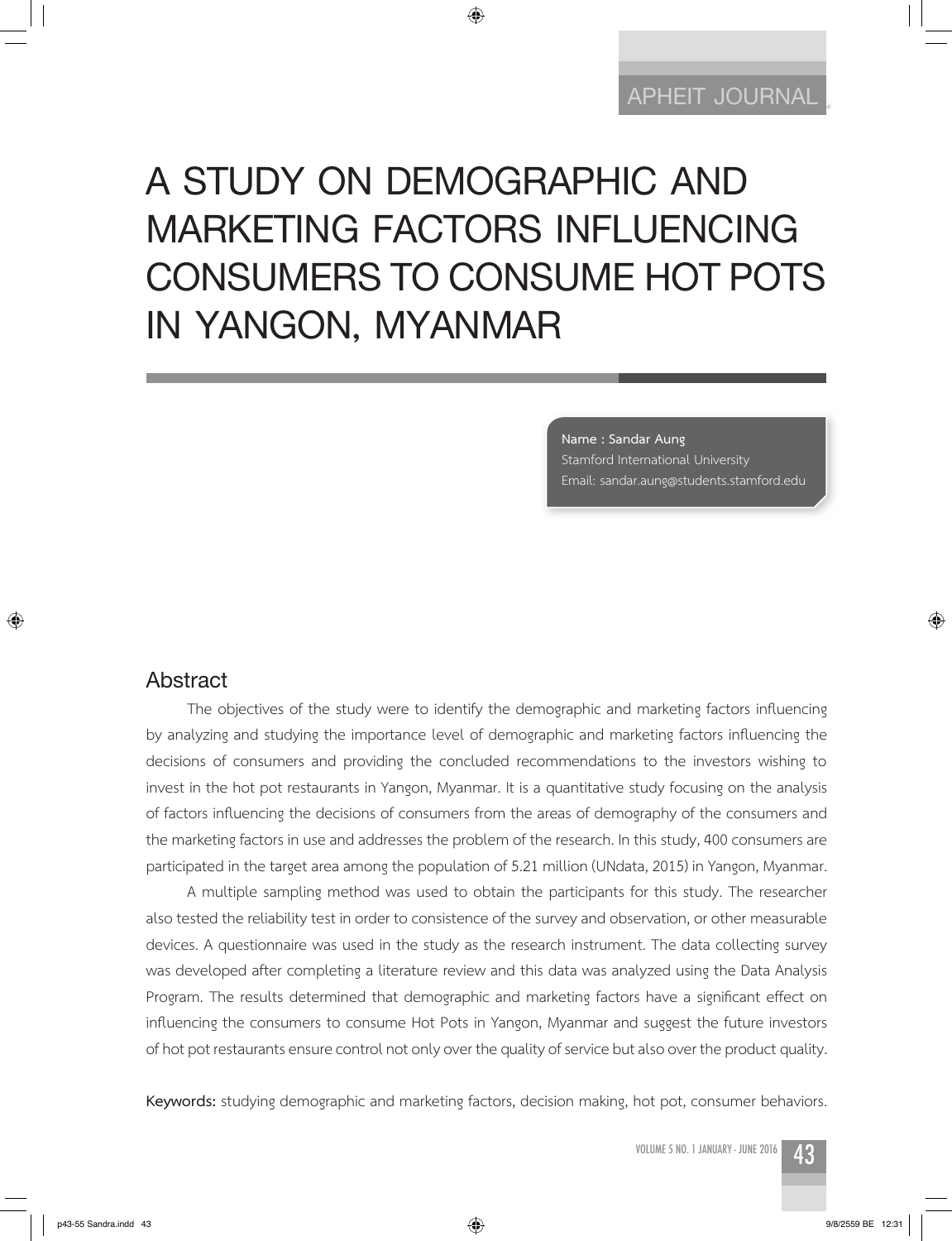# **A STUDY ON DEMOGRAPHIC AND MARKETING FACTORS INFLUENCING CONSUMERS TO CONSUME HOT POTS IN YANGON, MYANMAR**

◈

**Name : Sandar Aung** Stamford International University Email: sandar.aung@students.stamford.edu

#### **Abstract**

⊕

The objectives of the study were to identify the demographic and marketing factors influencing by analyzing and studying the importance level of demographic and marketing factors influencing the decisions of consumers and providing the concluded recommendations to the investors wishing to invest in the hot pot restaurants in Yangon, Myanmar. It is a quantitative study focusing on the analysis of factors influencing the decisions of consumers from the areas of demography of the consumers and the marketing factors in use and addresses the problem of the research. In this study, 400 consumers are participated in the target area among the population of 5.21 million (UNdata, 2015) in Yangon, Myanmar.

A multiple sampling method was used to obtain the participants for this study. The researcher also tested the reliability test in order to consistence of the survey and observation, or other measurable devices. A questionnaire was used in the study as the research instrument. The data collecting survey was developed after completing a literature review and this data was analyzed using the Data Analysis Program. The results determined that demographic and marketing factors have a significant effect on influencing the consumers to consume Hot Pots in Yangon, Myanmar and suggest the future investors of hot pot restaurants ensure control not only over the quality of service but also over the product quality.

**Keywords:** studying demographic and marketing factors, decision making, hot pot, consumer behaviors.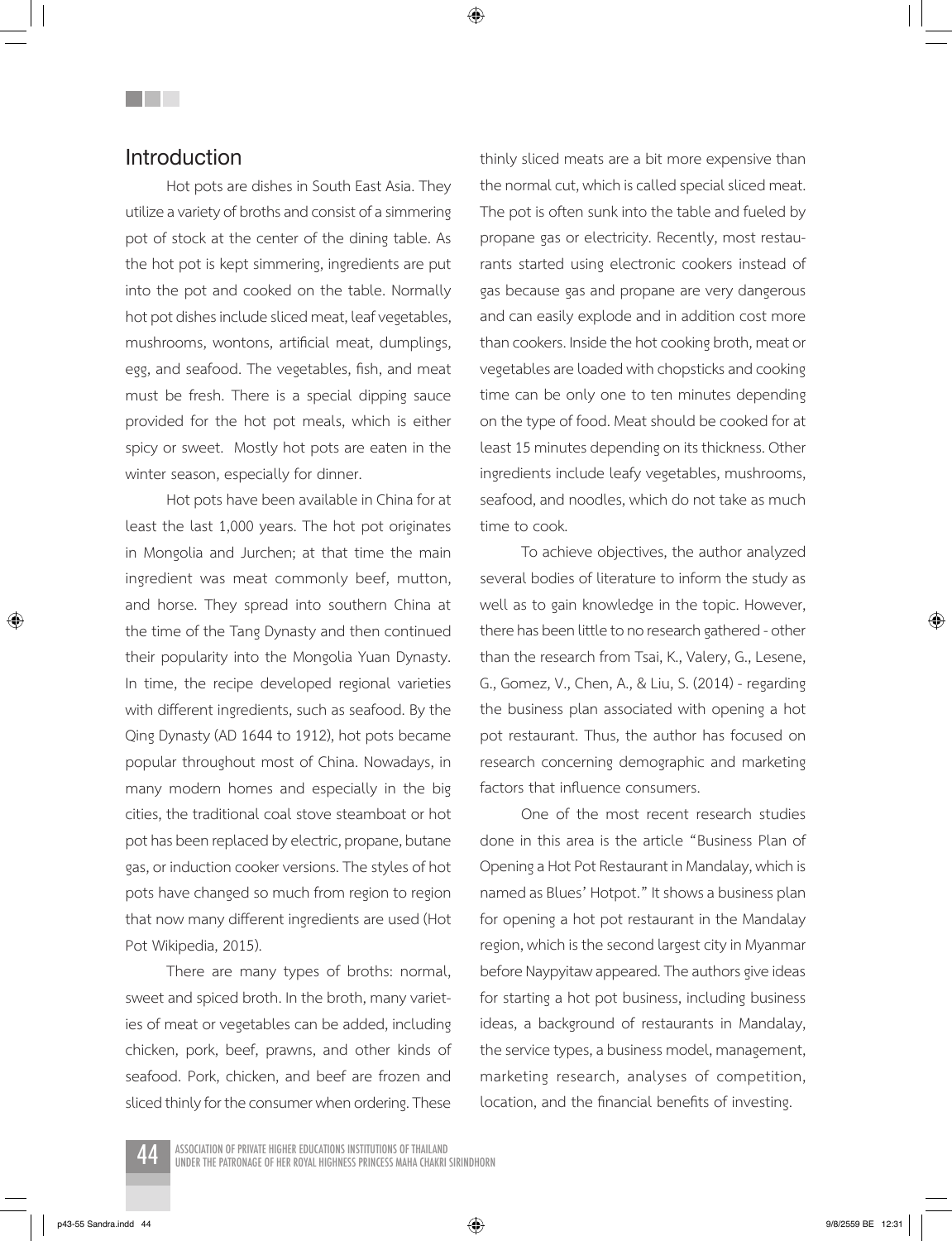## **Introduction**

**Title** 

Hot pots are dishes in South East Asia. They utilize a variety of broths and consist of a simmering pot of stock at the center of the dining table. As the hot pot is kept simmering, ingredients are put into the pot and cooked on the table. Normally hot pot dishes include sliced meat, leaf vegetables, mushrooms, wontons, artificial meat, dumplings, egg, and seafood. The vegetables, fish, and meat must be fresh. There is a special dipping sauce provided for the hot pot meals, which is either spicy or sweet. Mostly hot pots are eaten in the winter season, especially for dinner.

Hot pots have been available in China for at least the last 1,000 years. The hot pot originates in Mongolia and Jurchen; at that time the main ingredient was meat commonly beef, mutton, and horse. They spread into southern China at the time of the Tang Dynasty and then continued their popularity into the Mongolia Yuan Dynasty. In time, the recipe developed regional varieties with different ingredients, such as seafood. By the Qing Dynasty (AD 1644 to 1912), hot pots became popular throughout most of China. Nowadays, in many modern homes and especially in the big cities, the traditional coal stove steamboat or hot pot has been replaced by electric, propane, butane gas, or induction cooker versions. The styles of hot pots have changed so much from region to region that now many different ingredients are used (Hot Pot Wikipedia, 2015).

There are many types of broths: normal, sweet and spiced broth. In the broth, many varieties of meat or vegetables can be added, including chicken, pork, beef, prawns, and other kinds of seafood. Pork, chicken, and beef are frozen and sliced thinly for the consumer when ordering. These thinly sliced meats are a bit more expensive than the normal cut, which is called special sliced meat. The pot is often sunk into the table and fueled by propane gas or electricity. Recently, most restaurants started using electronic cookers instead of gas because gas and propane are very dangerous and can easily explode and in addition cost more than cookers. Inside the hot cooking broth, meat or vegetables are loaded with chopsticks and cooking time can be only one to ten minutes depending on the type of food. Meat should be cooked for at least 15 minutes depending on its thickness. Other ingredients include leafy vegetables, mushrooms, seafood, and noodles, which do not take as much time to cook.

To achieve objectives, the author analyzed several bodies of literature to inform the study as well as to gain knowledge in the topic. However, there has been little to no research gathered - other than the research from Tsai, K., Valery, G., Lesene, G., Gomez, V., Chen, A., & Liu, S. (2014) - regarding the business plan associated with opening a hot pot restaurant. Thus, the author has focused on research concerning demographic and marketing factors that influence consumers.

One of the most recent research studies done in this area is the article "Business Plan of Opening a Hot Pot Restaurant in Mandalay, which is named as Blues' Hotpot." It shows a business plan for opening a hot pot restaurant in the Mandalay region, which is the second largest city in Myanmar before Naypyitaw appeared. The authors give ideas for starting a hot pot business, including business ideas, a background of restaurants in Mandalay, the service types, a business model, management, marketing research, analyses of competition, location, and the financial benefits of investing.

ASSOCIATION OF PRIVATE HIGHER EDUCATIONS INSTITUTIONS OF THAILAND<br>UNDER THE PATRONAGE OF HER ROYAL HIGHNESS PRINCESS MAHA CHAKRI SIRINDHORN

p43-55 Sandra.indd 44  $\langle\clubsuit\rangle$ 

⊕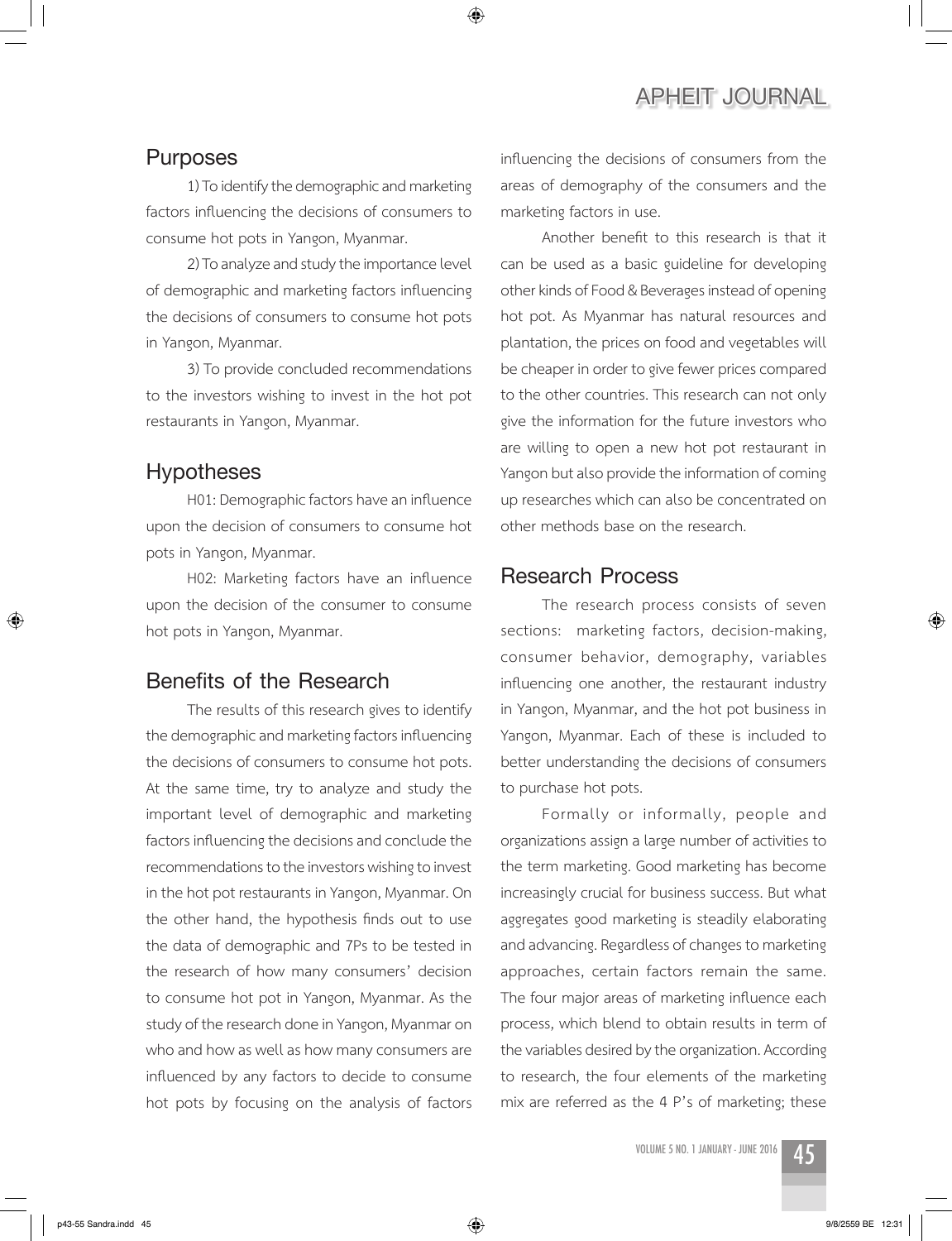#### **Purposes**

1) To identify the demographic and marketing factors influencing the decisions of consumers to consume hot pots in Yangon, Myanmar.

◈

2) To analyze and study the importance level of demographic and marketing factors influencing the decisions of consumers to consume hot pots in Yangon, Myanmar.

3) To provide concluded recommendations to the investors wishing to invest in the hot pot restaurants in Yangon, Myanmar.

## **Hypotheses**

H01: Demographic factors have an influence upon the decision of consumers to consume hot pots in Yangon, Myanmar.

H02: Marketing factors have an influence upon the decision of the consumer to consume hot pots in Yangon, Myanmar.

## **Benefits of the Research**

The results of this research gives to identify the demographic and marketing factors influencing the decisions of consumers to consume hot pots. At the same time, try to analyze and study the important level of demographic and marketing factors influencing the decisions and conclude the recommendations to the investors wishing to invest in the hot pot restaurants in Yangon, Myanmar. On the other hand, the hypothesis finds out to use the data of demographic and 7Ps to be tested in the research of how many consumers' decision to consume hot pot in Yangon, Myanmar. As the study of the research done in Yangon, Myanmar on who and how as well as how many consumers are influenced by any factors to decide to consume hot pots by focusing on the analysis of factors influencing the decisions of consumers from the areas of demography of the consumers and the marketing factors in use.

Another benefit to this research is that it can be used as a basic guideline for developing other kinds of Food & Beverages instead of opening hot pot. As Myanmar has natural resources and plantation, the prices on food and vegetables will be cheaper in order to give fewer prices compared to the other countries. This research can not only give the information for the future investors who are willing to open a new hot pot restaurant in Yangon but also provide the information of coming up researches which can also be concentrated on other methods base on the research.

#### **Research Process**

The research process consists of seven sections: marketing factors, decision-making, consumer behavior, demography, variables influencing one another, the restaurant industry in Yangon, Myanmar, and the hot pot business in Yangon, Myanmar. Each of these is included to better understanding the decisions of consumers to purchase hot pots.

Formally or informally, people and organizations assign a large number of activities to the term marketing. Good marketing has become increasingly crucial for business success. But what aggregates good marketing is steadily elaborating and advancing. Regardless of changes to marketing approaches, certain factors remain the same. The four major areas of marketing influence each process, which blend to obtain results in term of the variables desired by the organization. According to research, the four elements of the marketing mix are referred as the 4 P's of marketing; these

⊕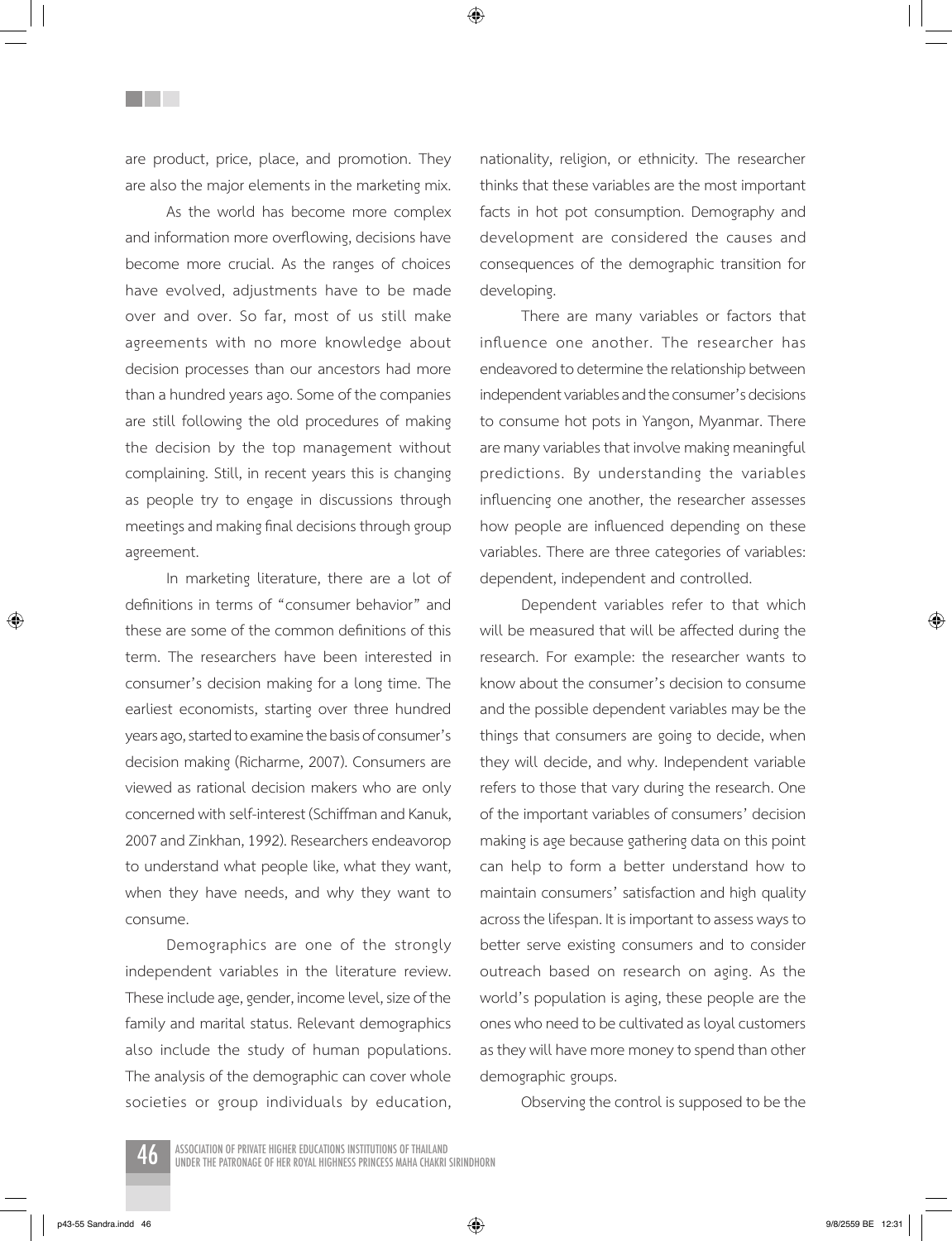are product, price, place, and promotion. They are also the major elements in the marketing mix.

<u>Filmer</u>

As the world has become more complex and information more overflowing, decisions have become more crucial. As the ranges of choices have evolved, adjustments have to be made over and over. So far, most of us still make agreements with no more knowledge about decision processes than our ancestors had more than a hundred years ago. Some of the companies are still following the old procedures of making the decision by the top management without complaining. Still, in recent years this is changing as people try to engage in discussions through meetings and making final decisions through group agreement.

In marketing literature, there are a lot of definitions in terms of "consumer behavior" and these are some of the common definitions of this term. The researchers have been interested in consumer's decision making for a long time. The earliest economists, starting over three hundred years ago, started to examine the basis of consumer's decision making (Richarme, 2007). Consumers are viewed as rational decision makers who are only concerned with self-interest (Schiffman and Kanuk, 2007 and Zinkhan, 1992). Researchers endeavorop to understand what people like, what they want, when they have needs, and why they want to consume.

Demographics are one of the strongly independent variables in the literature review. These include age, gender, income level, size of the family and marital status. Relevant demographics also include the study of human populations. The analysis of the demographic can cover whole societies or group individuals by education, nationality, religion, or ethnicity. The researcher thinks that these variables are the most important facts in hot pot consumption. Demography and development are considered the causes and consequences of the demographic transition for developing.

There are many variables or factors that influence one another. The researcher has endeavored to determine the relationship between independent variables and the consumer's decisions to consume hot pots in Yangon, Myanmar. There are many variables that involve making meaningful predictions. By understanding the variables influencing one another, the researcher assesses how people are influenced depending on these variables. There are three categories of variables: dependent, independent and controlled.

Dependent variables refer to that which will be measured that will be affected during the research. For example: the researcher wants to know about the consumer's decision to consume and the possible dependent variables may be the things that consumers are going to decide, when they will decide, and why. Independent variable refers to those that vary during the research. One of the important variables of consumers' decision making is age because gathering data on this point can help to form a better understand how to maintain consumers' satisfaction and high quality across the lifespan. It is important to assess ways to better serve existing consumers and to consider outreach based on research on aging. As the world's population is aging, these people are the ones who need to be cultivated as loyal customers as they will have more money to spend than other demographic groups.

Observing the control is supposed to be the



ASSOCIATION OF PRIVATE HIGHER EDUCATIONS INSTITUTIONS OF THAILAND<br>UNDER THE PATRONAGE OF HER ROYAL HIGHNESS PRINCESS MAHA CHAKRI SIRINDHORN

p43-55 Sandra.indd 46  $\langle\clubsuit\rangle$ 

⊕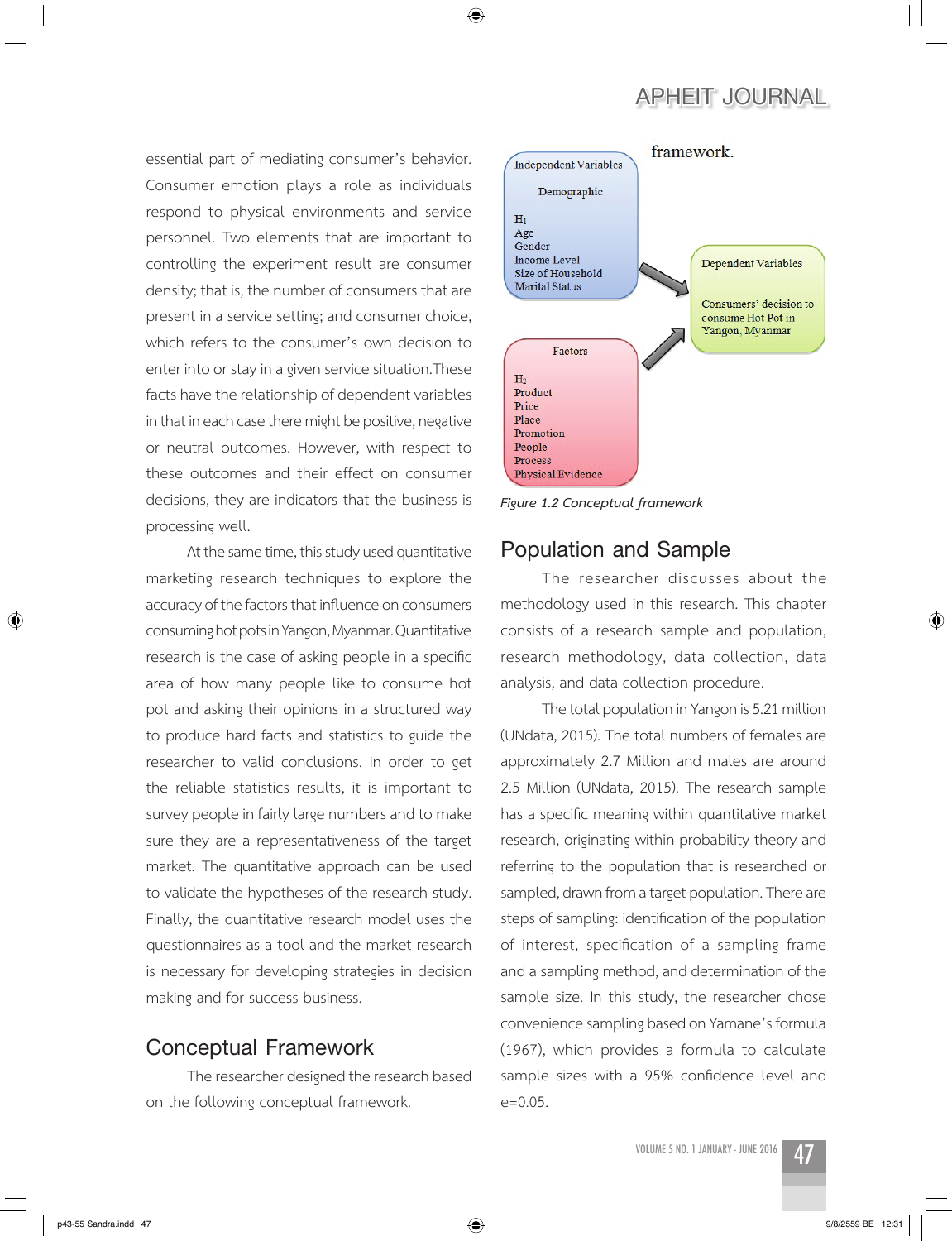essential part of mediating consumer's behavior. Consumer emotion plays a role as individuals respond to physical environments and service personnel. Two elements that are important to controlling the experiment result are consumer density; that is, the number of consumers that are present in a service setting; and consumer choice, which refers to the consumer's own decision to enter into or stay in a given service situation.These facts have the relationship of dependent variables in that in each case there might be positive, negative or neutral outcomes. However, with respect to these outcomes and their effect on consumer decisions, they are indicators that the business is processing well.

At the same time, this study used quantitative marketing research techniques to explore the accuracy of the factors that influence on consumers consuming hot pots in Yangon, Myanmar. Quantitative research is the case of asking people in a specific area of how many people like to consume hot pot and asking their opinions in a structured way to produce hard facts and statistics to guide the researcher to valid conclusions. In order to get the reliable statistics results, it is important to survey people in fairly large numbers and to make sure they are a representativeness of the target market. The quantitative approach can be used to validate the hypotheses of the research study. Finally, the quantitative research model uses the questionnaires as a tool and the market research is necessary for developing strategies in decision making and for success business.

#### **Conceptual Framework**

The researcher designed the research based on the following conceptual framework.



*Figure 1.2 Conceptual framework*

◈

# **Population and Sample**

The researcher discusses about the methodology used in this research. This chapter consists of a research sample and population, research methodology, data collection, data analysis, and data collection procedure.

The total population in Yangon is 5.21 million (UNdata, 2015). The total numbers of females are approximately 2.7 Million and males are around 2.5 Million (UNdata, 2015). The research sample has a specific meaning within quantitative market research, originating within probability theory and referring to the population that is researched or sampled, drawn from a target population. There are steps of sampling: identification of the population of interest, specification of a sampling frame and a sampling method, and determination of the sample size. In this study, the researcher chose convenience sampling based on Yamane's formula (1967), which provides a formula to calculate sample sizes with a 95% confidence level and e=0.05.



⊕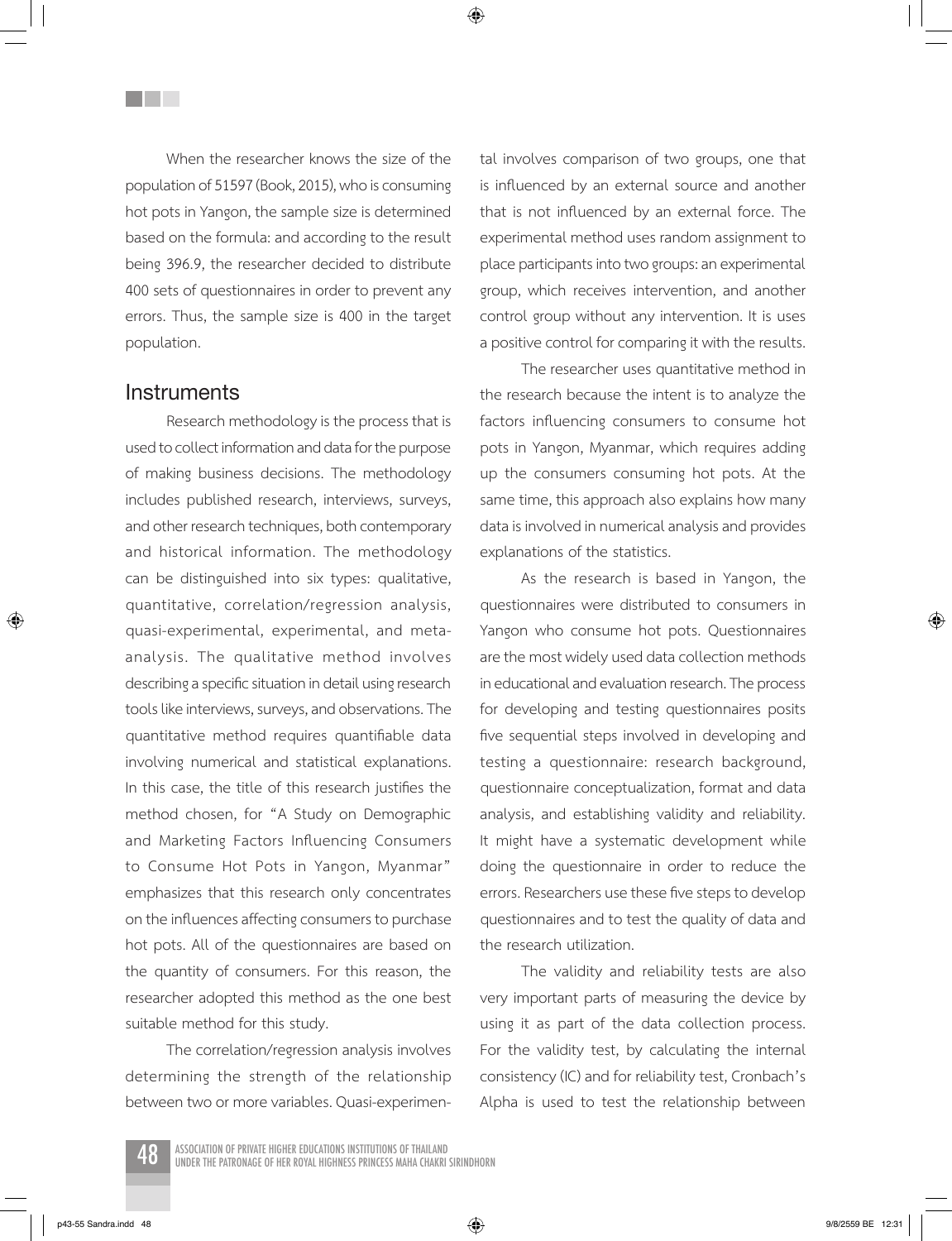When the researcher knows the size of the population of 51597 (Book, 2015), who is consuming hot pots in Yangon, the sample size is determined based on the formula: and according to the result being 396.9, the researcher decided to distribute 400 sets of questionnaires in order to prevent any errors. Thus, the sample size is 400 in the target population.

#### **Instruments**

**Title** 

Research methodology is the process that is used to collect information and data for the purpose of making business decisions. The methodology includes published research, interviews, surveys, and other research techniques, both contemporary and historical information. The methodology can be distinguished into six types: qualitative, quantitative, correlation/regression analysis, quasi-experimental, experimental, and metaanalysis. The qualitative method involves describing a specific situation in detail using research tools like interviews, surveys, and observations. The quantitative method requires quantifiable data involving numerical and statistical explanations. In this case, the title of this research justifies the method chosen, for "A Study on Demographic and Marketing Factors Influencing Consumers to Consume Hot Pots in Yangon, Myanmar" emphasizes that this research only concentrates on the influences affecting consumers to purchase hot pots. All of the questionnaires are based on the quantity of consumers. For this reason, the researcher adopted this method as the one best suitable method for this study.

The correlation/regression analysis involves determining the strength of the relationship between two or more variables. Quasi-experimental involves comparison of two groups, one that is influenced by an external source and another that is not influenced by an external force. The experimental method uses random assignment to place participants into two groups: an experimental group, which receives intervention, and another control group without any intervention. It is uses a positive control for comparing it with the results.

The researcher uses quantitative method in the research because the intent is to analyze the factors influencing consumers to consume hot pots in Yangon, Myanmar, which requires adding up the consumers consuming hot pots. At the same time, this approach also explains how many data is involved in numerical analysis and provides explanations of the statistics.

As the research is based in Yangon, the questionnaires were distributed to consumers in Yangon who consume hot pots. Questionnaires are the most widely used data collection methods in educational and evaluation research. The process for developing and testing questionnaires posits five sequential steps involved in developing and testing a questionnaire: research background, questionnaire conceptualization, format and data analysis, and establishing validity and reliability. It might have a systematic development while doing the questionnaire in order to reduce the errors. Researchers use these five steps to develop questionnaires and to test the quality of data and the research utilization.

The validity and reliability tests are also very important parts of measuring the device by using it as part of the data collection process. For the validity test, by calculating the internal consistency (IC) and for reliability test, Cronbach's Alpha is used to test the relationship between



ASSOCIATION OF PRIVATE HIGHER EDUCATIONS INSTITUTIONS OF THAILAND<br>UNDER THE PATRONAGE OF HER ROYAL HIGHNESS PRINCESS MAHA CHAKRI SIRINDHORN

⊕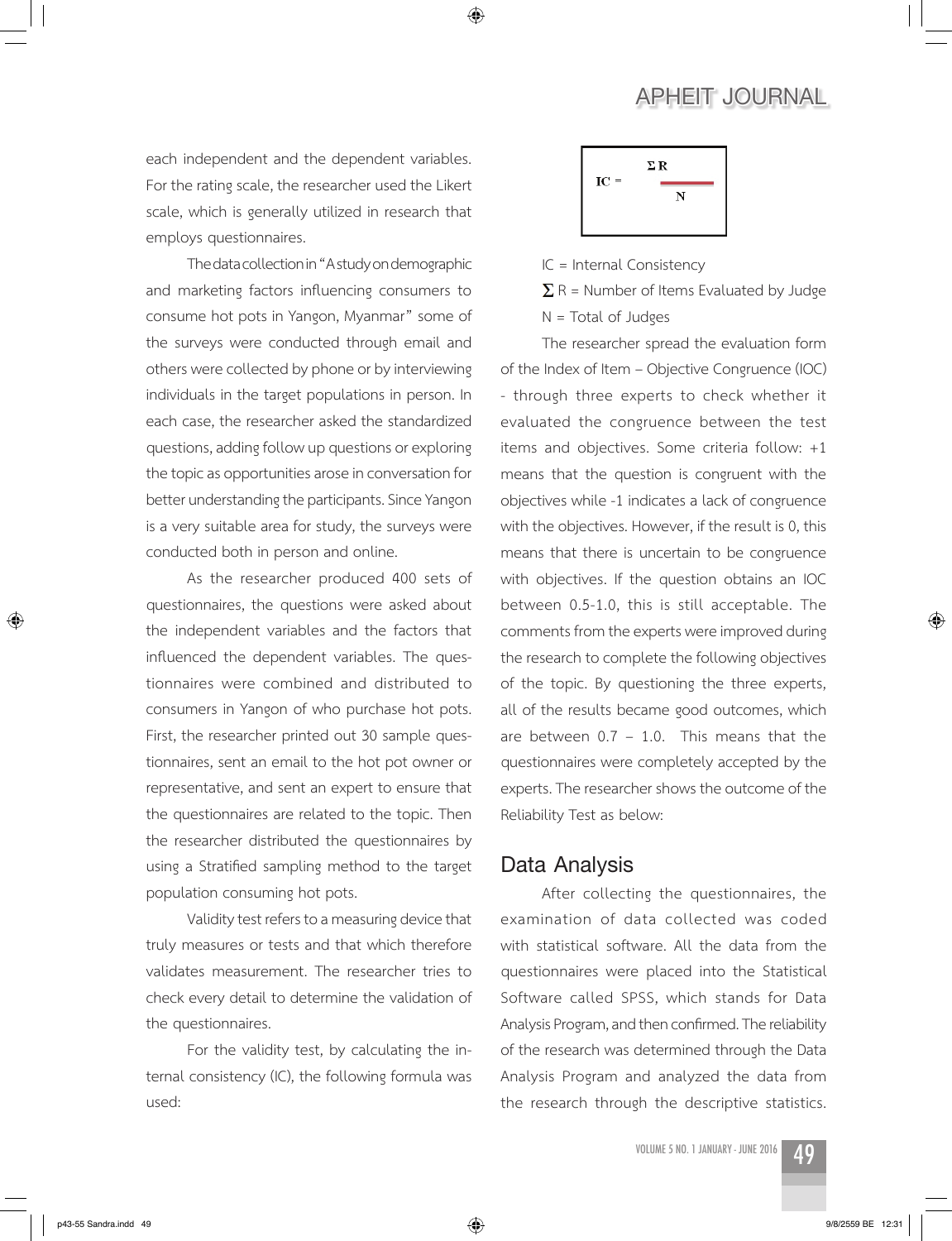each independent and the dependent variables. For the rating scale, the researcher used the Likert scale, which is generally utilized in research that employs questionnaires.

The data collection in "A study on demographic and marketing factors influencing consumers to consume hot pots in Yangon, Myanmar" some of the surveys were conducted through email and others were collected by phone or by interviewing individuals in the target populations in person. In each case, the researcher asked the standardized questions, adding follow up questions or exploring the topic as opportunities arose in conversation for better understanding the participants. Since Yangon is a very suitable area for study, the surveys were conducted both in person and online.

As the researcher produced 400 sets of questionnaires, the questions were asked about the independent variables and the factors that influenced the dependent variables. The questionnaires were combined and distributed to consumers in Yangon of who purchase hot pots. First, the researcher printed out 30 sample questionnaires, sent an email to the hot pot owner or representative, and sent an expert to ensure that the questionnaires are related to the topic. Then the researcher distributed the questionnaires by using a Stratified sampling method to the target population consuming hot pots.

Validity test refers to a measuring device that truly measures or tests and that which therefore validates measurement. The researcher tries to check every detail to determine the validation of the questionnaires.

For the validity test, by calculating the internal consistency (IC), the following formula was used:

$$
IC = \frac{\Sigma R}{N}
$$

IC = Internal Consistency

◈

 $\Sigma$  R = Number of Items Evaluated by Judge N = Total of Judges

The researcher spread the evaluation form of the Index of Item – Objective Congruence (IOC) - through three experts to check whether it evaluated the congruence between the test items and objectives. Some criteria follow: +1 means that the question is congruent with the objectives while -1 indicates a lack of congruence with the objectives. However, if the result is 0, this means that there is uncertain to be congruence with objectives. If the question obtains an IOC between 0.5-1.0, this is still acceptable. The comments from the experts were improved during the research to complete the following objectives of the topic. By questioning the three experts, all of the results became good outcomes, which are between  $0.7 - 1.0$ . This means that the questionnaires were completely accepted by the experts. The researcher shows the outcome of the Reliability Test as below:

# **Data Analysis**

After collecting the questionnaires, the examination of data collected was coded with statistical software. All the data from the questionnaires were placed into the Statistical Software called SPSS, which stands for Data Analysis Program, and then confirmed. The reliability of the research was determined through the Data Analysis Program and analyzed the data from the research through the descriptive statistics.

⊕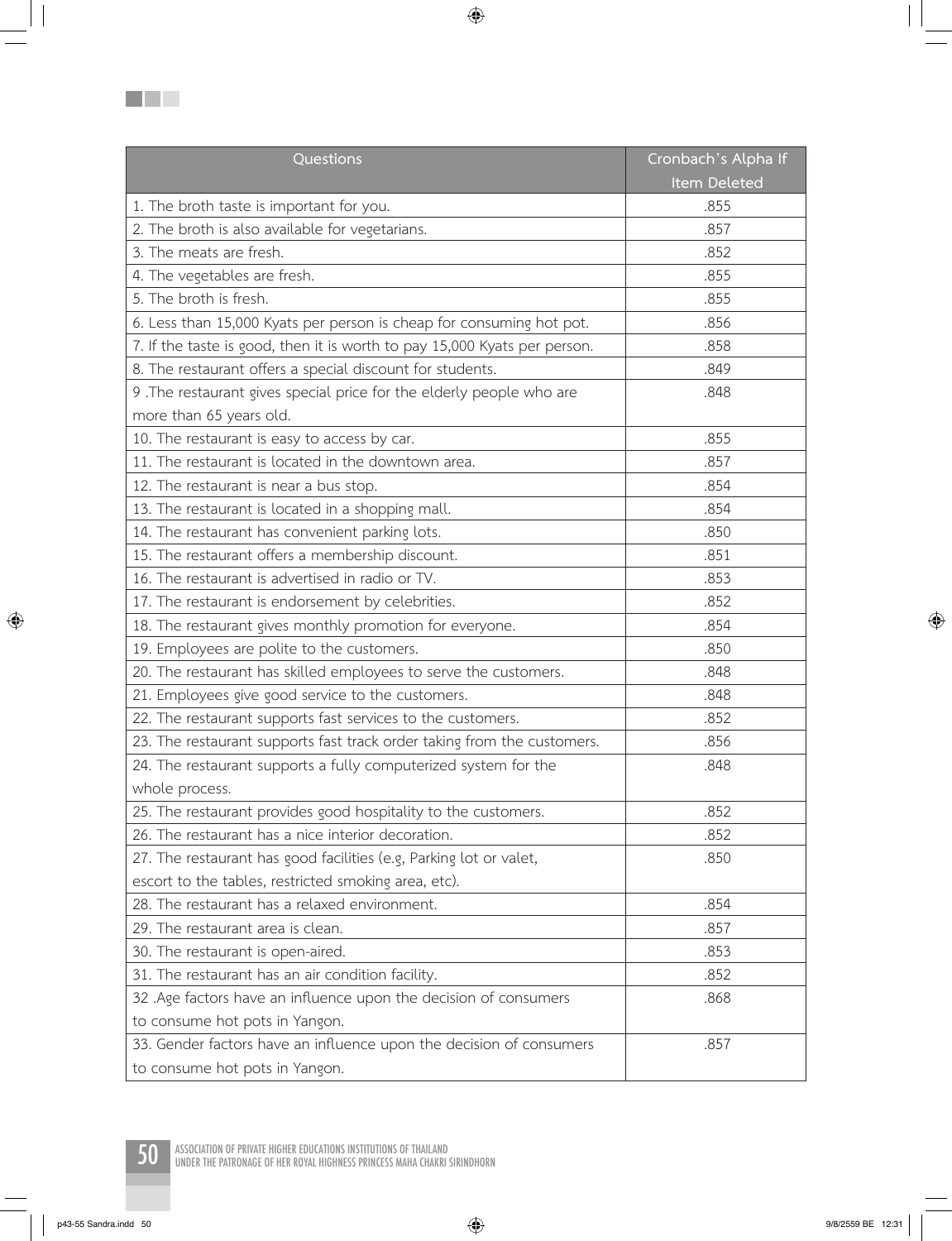| Questions                                                                 | Cronbach's Alpha If |
|---------------------------------------------------------------------------|---------------------|
|                                                                           | Item Deleted        |
| 1. The broth taste is important for you.                                  | .855                |
| 2. The broth is also available for vegetarians.                           | .857                |
| 3. The meats are fresh.                                                   | .852                |
| 4. The vegetables are fresh.                                              | .855                |
| 5. The broth is fresh.                                                    | .855                |
| 6. Less than 15,000 Kyats per person is cheap for consuming hot pot.      | .856                |
| 7. If the taste is good, then it is worth to pay 15,000 Kyats per person. | .858                |
| 8. The restaurant offers a special discount for students.                 | .849                |
| 9 .The restaurant gives special price for the elderly people who are      | .848                |
| more than 65 years old.                                                   |                     |
| 10. The restaurant is easy to access by car.                              | .855                |
| 11. The restaurant is located in the downtown area.                       | .857                |
| 12. The restaurant is near a bus stop.                                    | .854                |
| 13. The restaurant is located in a shopping mall.                         | .854                |
| 14. The restaurant has convenient parking lots.                           | .850                |
| 15. The restaurant offers a membership discount.                          | .851                |
| 16. The restaurant is advertised in radio or TV.                          | .853                |
| 17. The restaurant is endorsement by celebrities.                         | .852                |
| 18. The restaurant gives monthly promotion for everyone.                  | .854                |
| 19. Employees are polite to the customers.                                | .850                |
| 20. The restaurant has skilled employees to serve the customers.          | .848                |
| 21. Employees give good service to the customers.                         | .848                |
| 22. The restaurant supports fast services to the customers.               | .852                |
| 23. The restaurant supports fast track order taking from the customers.   | .856                |
| 24. The restaurant supports a fully computerized system for the           | .848                |
| whole process.                                                            |                     |
| 25. The restaurant provides good hospitality to the customers.            | .852                |
| 26. The restaurant has a nice interior decoration.                        | .852                |
| 27. The restaurant has good facilities (e.g, Parking lot or valet,        | .850                |
| escort to the tables, restricted smoking area, etc).                      |                     |
| 28. The restaurant has a relaxed environment.                             | .854                |
| 29. The restaurant area is clean.                                         | .857                |
| 30. The restaurant is open-aired.                                         | .853                |
| 31. The restaurant has an air condition facility.                         | .852                |
| 32 .Age factors have an influence upon the decision of consumers          | .868                |
| to consume hot pots in Yangon.                                            |                     |
| 33. Gender factors have an influence upon the decision of consumers       | .857                |
| to consume hot pots in Yangon.                                            |                     |

 $\bigoplus$ 



50 ASSOCIATION OF PRIVATE HIGHER EDUCATIONS INSTITUTIONS OF THAILAND UNDER THE PATRONAGE OF HER ROYAL HIGHNESS PRINCESS MAHA CHAKRI SIRINDHORN

 $\bigoplus$ 

**BO** 

p43-55 Sandra.indd 50 9/8/2559 BE 12:31

 $\overline{\phantom{a}}$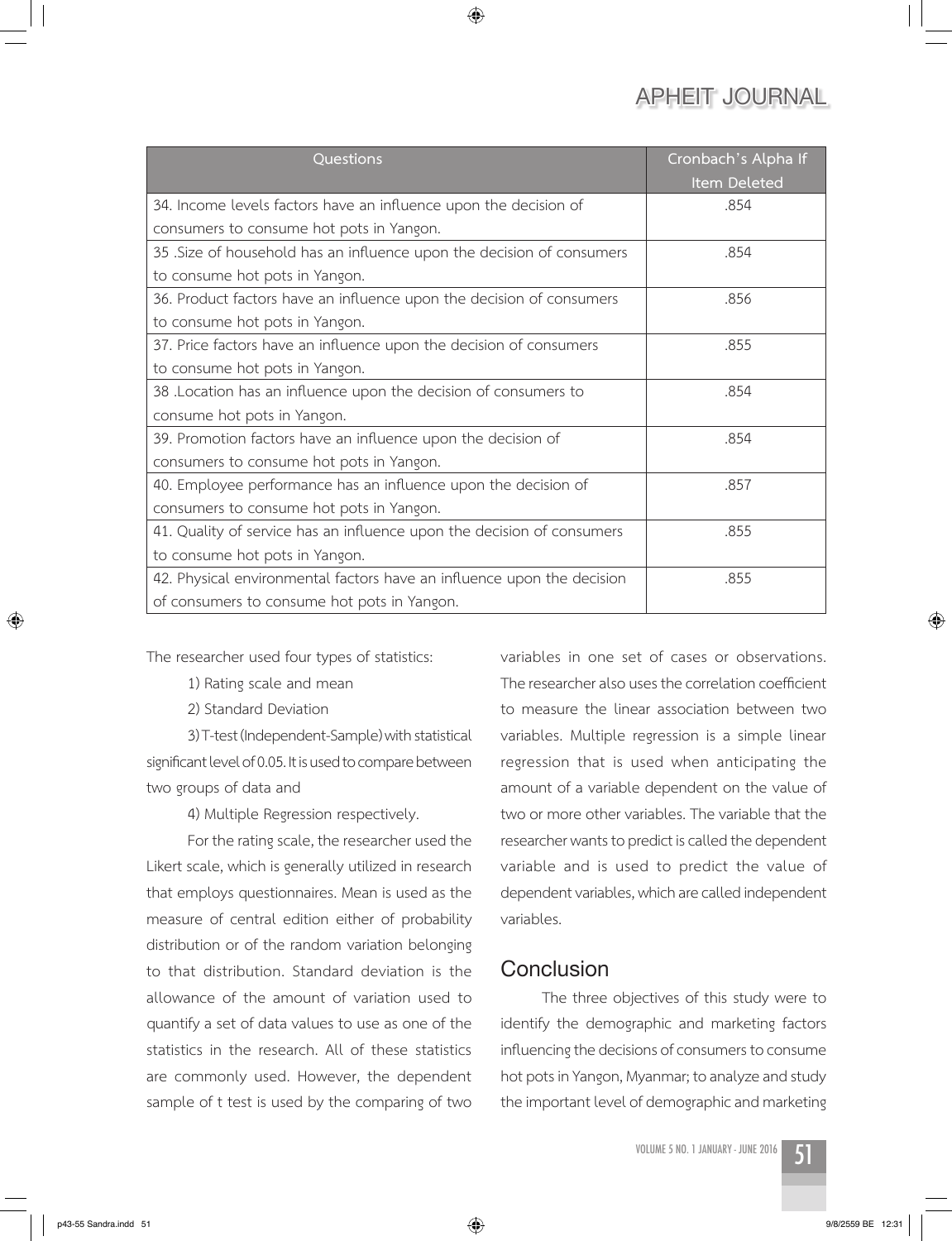| Questions                                                              | Cronbach's Alpha If<br><b>Item Deleted</b> |
|------------------------------------------------------------------------|--------------------------------------------|
| 34. Income levels factors have an influence upon the decision of       | .854                                       |
| consumers to consume hot pots in Yangon.                               |                                            |
| 35 .Size of household has an influence upon the decision of consumers  | .854                                       |
| to consume hot pots in Yangon.                                         |                                            |
| 36. Product factors have an influence upon the decision of consumers   | .856                                       |
| to consume hot pots in Yangon.                                         |                                            |
| 37. Price factors have an influence upon the decision of consumers     | .855                                       |
| to consume hot pots in Yangon.                                         |                                            |
| 38 .Location has an influence upon the decision of consumers to        | .854                                       |
| consume hot pots in Yangon.                                            |                                            |
| 39. Promotion factors have an influence upon the decision of           | .854                                       |
| consumers to consume hot pots in Yangon.                               |                                            |
| 40. Employee performance has an influence upon the decision of         | .857                                       |
| consumers to consume hot pots in Yangon.                               |                                            |
| 41. Quality of service has an influence upon the decision of consumers | .855                                       |
| to consume hot pots in Yangon.                                         |                                            |
| 42. Physical environmental factors have an influence upon the decision | .855                                       |
| of consumers to consume hot pots in Yangon.                            |                                            |

◈

The researcher used four types of statistics:

1) Rating scale and mean

2) Standard Deviation

3) T-test (Independent-Sample) with statistical significant level of 0.05. It is used to compare between two groups of data and

4) Multiple Regression respectively.

For the rating scale, the researcher used the Likert scale, which is generally utilized in research that employs questionnaires. Mean is used as the measure of central edition either of probability distribution or of the random variation belonging to that distribution. Standard deviation is the allowance of the amount of variation used to quantify a set of data values to use as one of the statistics in the research. All of these statistics are commonly used. However, the dependent sample of t test is used by the comparing of two variables in one set of cases or observations. The researcher also uses the correlation coefficient to measure the linear association between two variables. Multiple regression is a simple linear regression that is used when anticipating the amount of a variable dependent on the value of two or more other variables. The variable that the researcher wants to predict is called the dependent variable and is used to predict the value of dependent variables, which are called independent variables.

## **Conclusion**

The three objectives of this study were to identify the demographic and marketing factors influencing the decisions of consumers to consume hot pots in Yangon, Myanmar; to analyze and study the important level of demographic and marketing

 $\bigcirc$ 

↔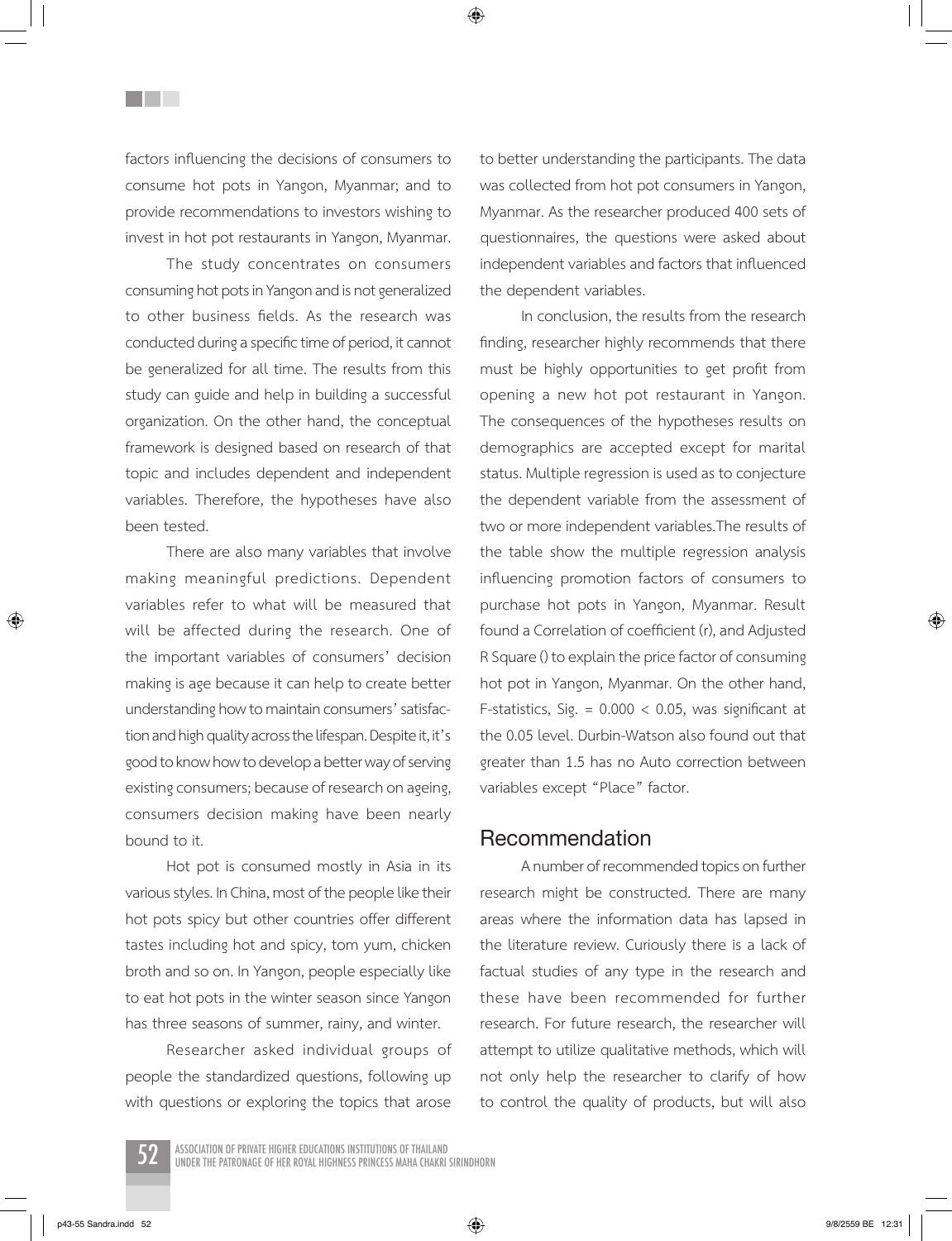factors influencing the decisions of consumers to consume hot pots in Yangon, Myanmar; and to provide recommendations to investors wishing to invest in hot pot restaurants in Yangon, Myanmar.

<u>Filmer</u>

The study concentrates on consumers consuming hot pots in Yangon and is not generalized to other business fields. As the research was conducted during a specific time of period, it cannot be generalized for all time. The results from this study can guide and help in building a successful organization. On the other hand, the conceptual framework is designed based on research of that topic and includes dependent and independent variables. Therefore, the hypotheses have also been tested.

There are also many variables that involve making meaningful predictions. Dependent variables refer to what will be measured that will be affected during the research. One of the important variables of consumers' decision making is age because it can help to create better understanding how to maintain consumers' satisfaction and high quality across the lifespan. Despite it, it's good to know how to develop a better way of serving existing consumers; because of research on ageing, consumers decision making have been nearly bound to it.

Hot pot is consumed mostly in Asia in its various styles. In China, most of the people like their hot pots spicy but other countries offer different tastes including hot and spicy, tom yum, chicken broth and so on. In Yangon, people especially like to eat hot pots in the winter season since Yangon has three seasons of summer, rainy, and winter.

Researcher asked individual groups of people the standardized questions, following up with questions or exploring the topics that arose to better understanding the participants. The data was collected from hot pot consumers in Yangon, Myanmar. As the researcher produced 400 sets of questionnaires, the questions were asked about independent variables and factors that influenced the dependent variables.

In conclusion, the results from the research finding, researcher highly recommends that there must be highly opportunities to get profit from opening a new hot pot restaurant in Yangon. The consequences of the hypotheses results on demographics are accepted except for marital status. Multiple regression is used as to conjecture the dependent variable from the assessment of two or more independent variables.The results of the table show the multiple regression analysis influencing promotion factors of consumers to purchase hot pots in Yangon, Myanmar. Result found a Correlation of coefficient (r), and Adjusted R Square () to explain the price factor of consuming hot pot in Yangon, Myanmar. On the other hand, F-statistics, Sig. =  $0.000 < 0.05$ , was significant at the 0.05 level. Durbin-Watson also found out that greater than 1.5 has no Auto correction between variables except "Place" factor.

#### **Recommendation**

A number of recommended topics on further research might be constructed. There are many areas where the information data has lapsed in the literature review. Curiously there is a lack of factual studies of any type in the research and these have been recommended for further research. For future research, the researcher will attempt to utilize qualitative methods, which will not only help the researcher to clarify of how to control the quality of products, but will also

ASSOCIATION OF PRIVATE HIGHER EDUCATIONS INSTITUTIONS OF THAILAND<br>UNDER THE PATRONAGE OF HER ROYAL HIGHNESS PRINCESS MAHA CHAKRI SIRINDHORN

p43-55 Sandra.indd 52 9/8/2559 BE 12:31

⊕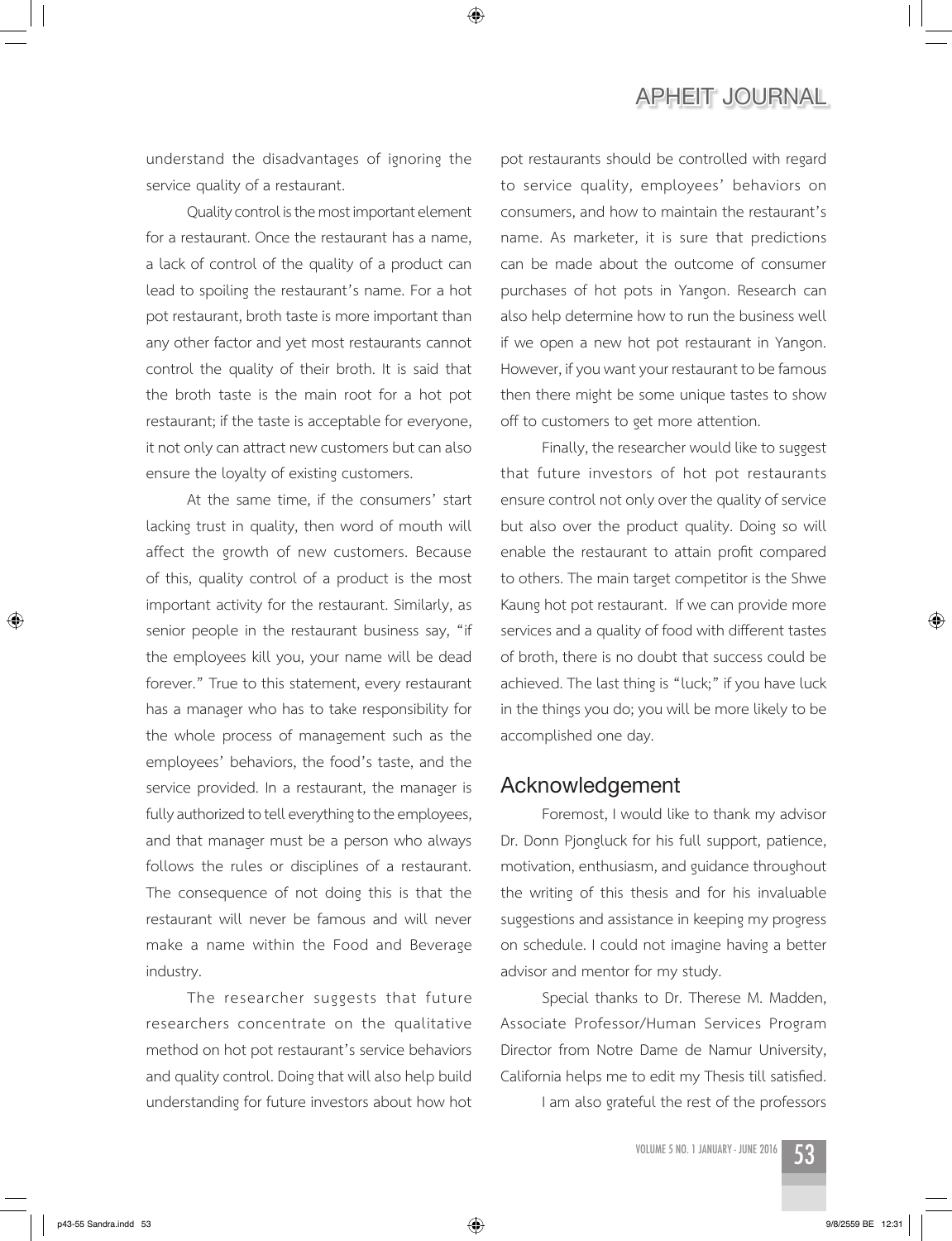understand the disadvantages of ignoring the service quality of a restaurant.

◈

Quality control is the most important element for a restaurant. Once the restaurant has a name, a lack of control of the quality of a product can lead to spoiling the restaurant's name. For a hot pot restaurant, broth taste is more important than any other factor and yet most restaurants cannot control the quality of their broth. It is said that the broth taste is the main root for a hot pot restaurant; if the taste is acceptable for everyone, it not only can attract new customers but can also ensure the loyalty of existing customers.

At the same time, if the consumers' start lacking trust in quality, then word of mouth will affect the growth of new customers. Because of this, quality control of a product is the most important activity for the restaurant. Similarly, as senior people in the restaurant business say, "if the employees kill you, your name will be dead forever." True to this statement, every restaurant has a manager who has to take responsibility for the whole process of management such as the employees' behaviors, the food's taste, and the service provided. In a restaurant, the manager is fully authorized to tell everything to the employees, and that manager must be a person who always follows the rules or disciplines of a restaurant. The consequence of not doing this is that the restaurant will never be famous and will never make a name within the Food and Beverage industry.

The researcher suggests that future researchers concentrate on the qualitative method on hot pot restaurant's service behaviors and quality control. Doing that will also help build understanding for future investors about how hot

pot restaurants should be controlled with regard to service quality, employees' behaviors on consumers, and how to maintain the restaurant's name. As marketer, it is sure that predictions can be made about the outcome of consumer purchases of hot pots in Yangon. Research can also help determine how to run the business well if we open a new hot pot restaurant in Yangon. However, if you want your restaurant to be famous then there might be some unique tastes to show off to customers to get more attention.

Finally, the researcher would like to suggest that future investors of hot pot restaurants ensure control not only over the quality of service but also over the product quality. Doing so will enable the restaurant to attain profit compared to others. The main target competitor is the Shwe Kaung hot pot restaurant. If we can provide more services and a quality of food with different tastes of broth, there is no doubt that success could be achieved. The last thing is "luck;" if you have luck in the things you do; you will be more likely to be accomplished one day.

#### **Acknowledgement**

Foremost, I would like to thank my advisor Dr. Donn Pjongluck for his full support, patience, motivation, enthusiasm, and guidance throughout the writing of this thesis and for his invaluable suggestions and assistance in keeping my progress on schedule. I could not imagine having a better advisor and mentor for my study.

Special thanks to Dr. Therese M. Madden, Associate Professor/Human Services Program Director from Notre Dame de Namur University, California helps me to edit my Thesis till satisfied.

I am also grateful the rest of the professors



⊕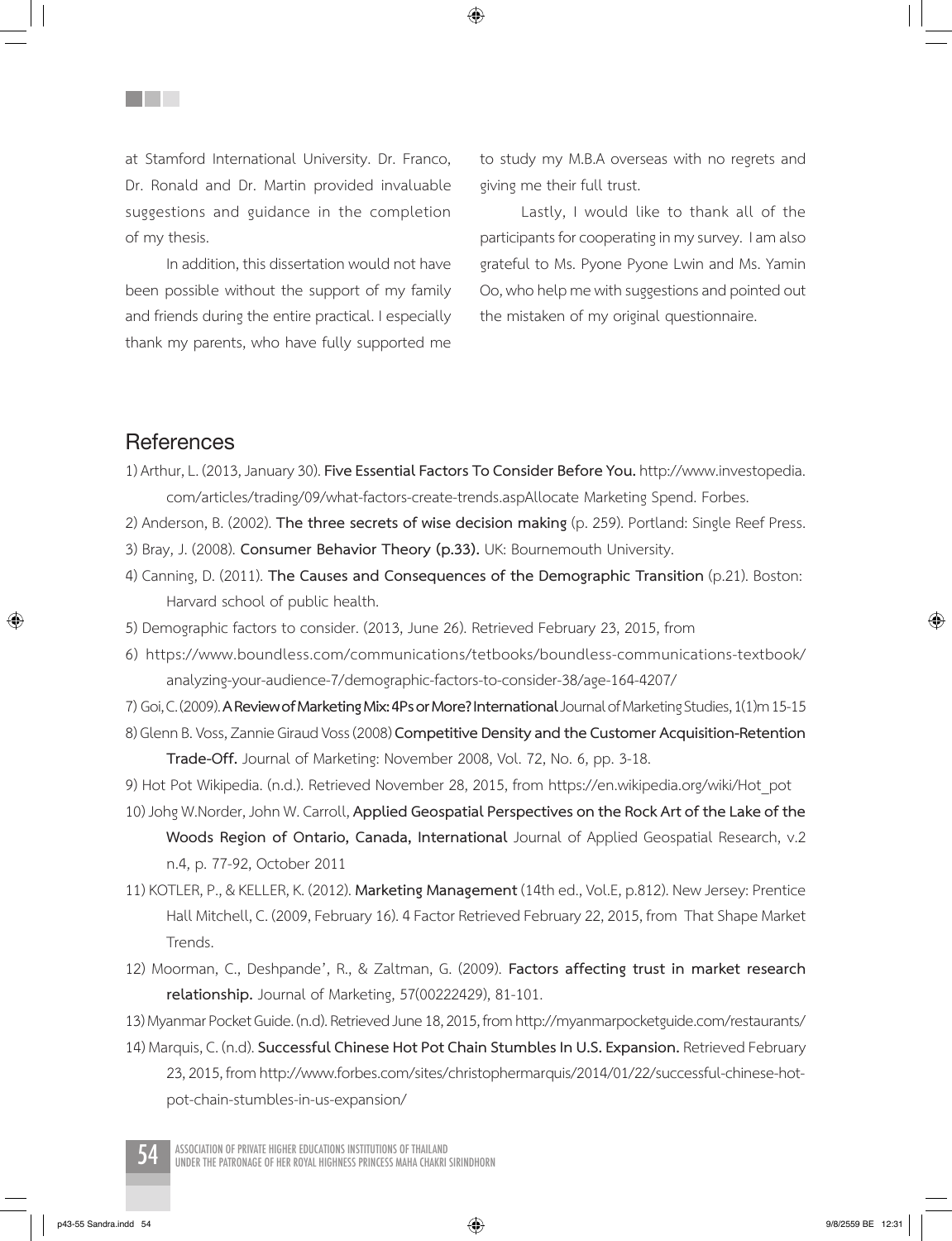at Stamford International University. Dr. Franco, Dr. Ronald and Dr. Martin provided invaluable suggestions and guidance in the completion of my thesis.

In addition, this dissertation would not have been possible without the support of my family and friends during the entire practical. I especially thank my parents, who have fully supported me to study my M.B.A overseas with no regrets and giving me their full trust.

Lastly, I would like to thank all of the participants for cooperating in my survey. I am also grateful to Ms. Pyone Pyone Lwin and Ms. Yamin Oo, who help me with suggestions and pointed out the mistaken of my original questionnaire.

## **References**

⊕

**Title** 

1) Arthur, L. (2013, January 30). **Five Essential Factors To Consider Before You.** http://www.investopedia. com/articles/trading/09/what-factors-create-trends.aspAllocate Marketing Spend. Forbes.

◈

- 2) Anderson, B. (2002). **The three secrets of wise decision making** (p. 259). Portland: Single Reef Press.
- 3) Bray, J. (2008). **Consumer Behavior Theory (p.33).** UK: Bournemouth University.
- 4) Canning, D. (2011). **The Causes and Consequences of the Demographic Transition** (p.21). Boston: Harvard school of public health.
- 5) Demographic factors to consider. (2013, June 26). Retrieved February 23, 2015, from
- 6) https://www.boundless.com/communications/tetbooks/boundless-communications-textbook/ analyzing-your-audience-7/demographic-factors-to-consider-38/age-164-4207/
- 7) Goi, C. (2009). **A Review of Marketing Mix: 4Ps or More? International** Journal of Marketing Studies, 1(1)m 15-15 8) Glenn B. Voss, Zannie Giraud Voss (2008) **Competitive Density and the Customer Acquisition-Retention Trade-Off.** Journal of Marketing: November 2008, Vol. 72, No. 6, pp. 3-18.
- 9) Hot Pot Wikipedia. (n.d.). Retrieved November 28, 2015, from https://en.wikipedia.org/wiki/Hot\_pot
- 10) Johg W.Norder, John W. Carroll, **Applied Geospatial Perspectives on the Rock Art of the Lake of the Woods Region of Ontario, Canada, International** Journal of Applied Geospatial Research, v.2 n.4, p. 77-92, October 2011
- 11) KOTLER, P., & KELLER, K. (2012). **Marketing Management** (14th ed., Vol.E, p.812). New Jersey: Prentice Hall Mitchell, C. (2009, February 16). 4 Factor Retrieved February 22, 2015, from That Shape Market Trends.
- 12) Moorman, C., Deshpande', R., & Zaltman, G. (2009). **Factors affecting trust in market research relationship.** Journal of Marketing, 57(00222429), 81-101.
- 13) Myanmar Pocket Guide. (n.d). Retrieved June 18, 2015, from http://myanmarpocketguide.com/restaurants/
- 14) Marquis, C. (n.d). **Successful Chinese Hot Pot Chain Stumbles In U.S. Expansion.** Retrieved February 23, 2015, from http://www.forbes.com/sites/christophermarquis/2014/01/22/successful-chinese-hotpot-chain-stumbles-in-us-expansion/